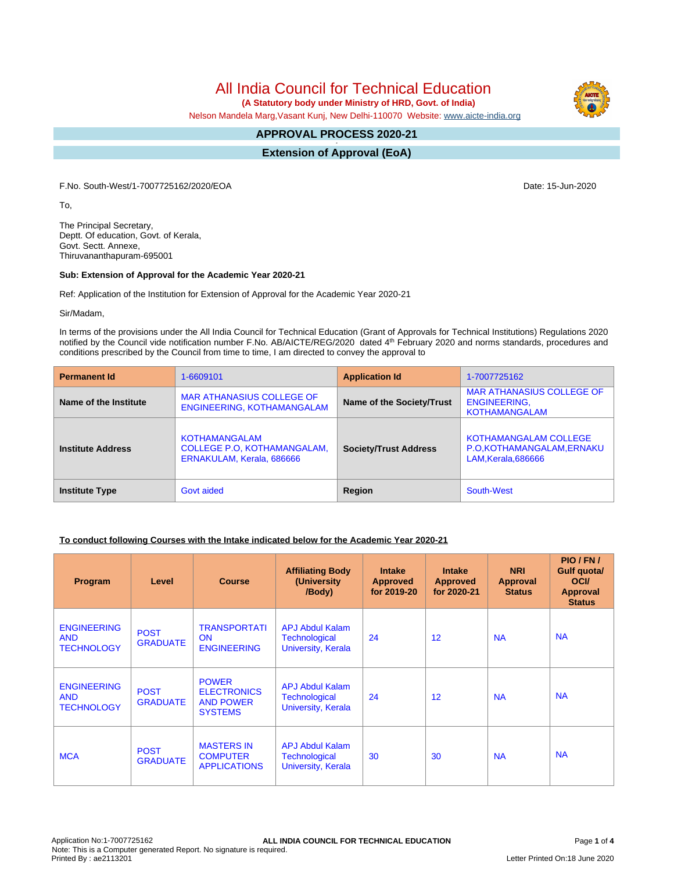All India Council for Technical Education

 **(A Statutory body under Ministry of HRD, Govt. of India)**

Nelson Mandela Marg,Vasant Kunj, New Delhi-110070 Website: [www.aicte-india.org](http://www.aicte-india.org)

#### **APPROVAL PROCESS 2020-21 -**

**Extension of Approval (EoA)**

F.No. South-West/1-7007725162/2020/EOA Date: 15-Jun-2020

To,

The Principal Secretary, Deptt. Of education, Govt. of Kerala, Govt. Sectt. Annexe, Thiruvananthapuram-695001

#### **Sub: Extension of Approval for the Academic Year 2020-21**

Ref: Application of the Institution for Extension of Approval for the Academic Year 2020-21

Sir/Madam,

In terms of the provisions under the All India Council for Technical Education (Grant of Approvals for Technical Institutions) Regulations 2020 notified by the Council vide notification number F.No. AB/AICTE/REG/2020 dated 4<sup>th</sup> February 2020 and norms standards, procedures and conditions prescribed by the Council from time to time, I am directed to convey the approval to

| <b>Permanent Id</b>      | 1-6609101                                                                               | <b>Application Id</b>        | 1-7007725162                                                                     |
|--------------------------|-----------------------------------------------------------------------------------------|------------------------------|----------------------------------------------------------------------------------|
| Name of the Institute    | <b>MAR ATHANASIUS COLLEGE OF</b><br>ENGINEERING, KOTHAMANGALAM                          | Name of the Society/Trust    | <b>MAR ATHANASIUS COLLEGE OF</b><br><b>ENGINEERING,</b><br><b>KOTHAMANGALAM</b>  |
| <b>Institute Address</b> | <b>KOTHAMANGALAM</b><br><b>COLLEGE P.O. KOTHAMANGALAM.</b><br>ERNAKULAM, Kerala, 686666 | <b>Society/Trust Address</b> | <b>KOTHAMANGALAM COLLEGE</b><br>P.O.KOTHAMANGALAM, ERNAKU<br>LAM, Kerala, 686666 |
| <b>Institute Type</b>    | Govt aided                                                                              | Region                       | South-West                                                                       |

# **To conduct following Courses with the Intake indicated below for the Academic Year 2020-21**

| Program                                               | Level                          | <b>Course</b>                                                            | <b>Affiliating Body</b><br>(University)<br>/Body)                    | <b>Intake</b><br><b>Approved</b><br>for 2019-20 | <b>Intake</b><br><b>Approved</b><br>for 2020-21 | <b>NRI</b><br>Approval<br><b>Status</b> | PIO/FN/<br>Gulf quota/<br><b>OCI</b><br><b>Approval</b><br><b>Status</b> |
|-------------------------------------------------------|--------------------------------|--------------------------------------------------------------------------|----------------------------------------------------------------------|-------------------------------------------------|-------------------------------------------------|-----------------------------------------|--------------------------------------------------------------------------|
| <b>ENGINEERING</b><br><b>AND</b><br><b>TECHNOLOGY</b> | <b>POST</b><br><b>GRADUATE</b> | <b>TRANSPORTATI</b><br><b>ON</b><br><b>ENGINEERING</b>                   | <b>APJ Abdul Kalam</b><br><b>Technological</b><br>University, Kerala | 24                                              | 12                                              | <b>NA</b>                               | <b>NA</b>                                                                |
| <b>ENGINEERING</b><br><b>AND</b><br><b>TECHNOLOGY</b> | <b>POST</b><br><b>GRADUATE</b> | <b>POWER</b><br><b>ELECTRONICS</b><br><b>AND POWER</b><br><b>SYSTEMS</b> | <b>APJ Abdul Kalam</b><br><b>Technological</b><br>University, Kerala | 24                                              | 12                                              | <b>NA</b>                               | <b>NA</b>                                                                |
| <b>MCA</b>                                            | <b>POST</b><br><b>GRADUATE</b> | <b>MASTERS IN</b><br><b>COMPUTER</b><br><b>APPLICATIONS</b>              | <b>APJ Abdul Kalam</b><br>Technological<br>University, Kerala        | 30                                              | 30                                              | <b>NA</b>                               | <b>NA</b>                                                                |

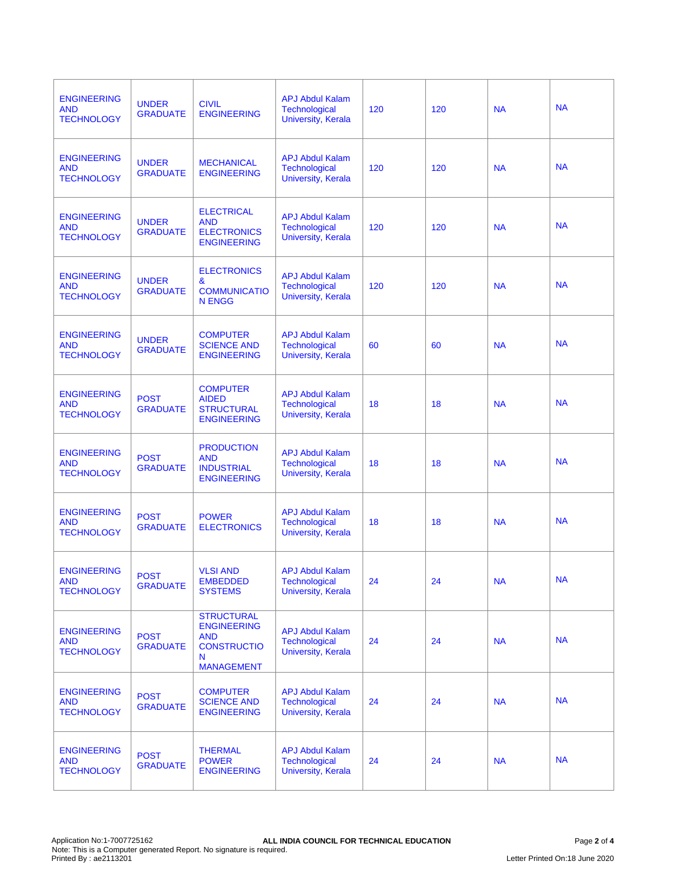| <b>ENGINEERING</b><br><b>AND</b><br><b>TECHNOLOGY</b> | <b>UNDER</b><br><b>GRADUATE</b> | <b>CIVIL</b><br><b>ENGINEERING</b>                                                                    | <b>APJ Abdul Kalam</b><br>Technological<br><b>University, Kerala</b>        | 120 | 120 | <b>NA</b> | <b>NA</b> |
|-------------------------------------------------------|---------------------------------|-------------------------------------------------------------------------------------------------------|-----------------------------------------------------------------------------|-----|-----|-----------|-----------|
| <b>ENGINEERING</b><br><b>AND</b><br><b>TECHNOLOGY</b> | <b>UNDER</b><br><b>GRADUATE</b> | <b>MECHANICAL</b><br><b>ENGINEERING</b>                                                               | <b>APJ Abdul Kalam</b><br><b>Technological</b><br><b>University, Kerala</b> | 120 | 120 | <b>NA</b> | <b>NA</b> |
| <b>ENGINEERING</b><br><b>AND</b><br><b>TECHNOLOGY</b> | <b>UNDER</b><br><b>GRADUATE</b> | <b>ELECTRICAL</b><br><b>AND</b><br><b>ELECTRONICS</b><br><b>ENGINEERING</b>                           | <b>APJ Abdul Kalam</b><br><b>Technological</b><br>University, Kerala        | 120 | 120 | <b>NA</b> | <b>NA</b> |
| <b>ENGINEERING</b><br><b>AND</b><br><b>TECHNOLOGY</b> | <b>UNDER</b><br><b>GRADUATE</b> | <b>ELECTRONICS</b><br>&<br><b>COMMUNICATIO</b><br><b>N ENGG</b>                                       | <b>APJ Abdul Kalam</b><br><b>Technological</b><br>University, Kerala        | 120 | 120 | <b>NA</b> | <b>NA</b> |
| <b>ENGINEERING</b><br><b>AND</b><br><b>TECHNOLOGY</b> | <b>UNDER</b><br><b>GRADUATE</b> | <b>COMPUTER</b><br><b>SCIENCE AND</b><br><b>ENGINEERING</b>                                           | <b>APJ Abdul Kalam</b><br>Technological<br><b>University, Kerala</b>        | 60  | 60  | <b>NA</b> | <b>NA</b> |
| <b>ENGINEERING</b><br><b>AND</b><br><b>TECHNOLOGY</b> | <b>POST</b><br><b>GRADUATE</b>  | <b>COMPUTER</b><br><b>AIDED</b><br><b>STRUCTURAL</b><br><b>ENGINEERING</b>                            | <b>APJ Abdul Kalam</b><br>Technological<br><b>University, Kerala</b>        | 18  | 18  | <b>NA</b> | <b>NA</b> |
| <b>ENGINEERING</b><br><b>AND</b><br><b>TECHNOLOGY</b> | <b>POST</b><br><b>GRADUATE</b>  | <b>PRODUCTION</b><br><b>AND</b><br><b>INDUSTRIAL</b><br><b>ENGINEERING</b>                            | <b>APJ Abdul Kalam</b><br>Technological<br><b>University, Kerala</b>        | 18  | 18  | <b>NA</b> | <b>NA</b> |
| <b>ENGINEERING</b><br><b>AND</b><br><b>TECHNOLOGY</b> | <b>POST</b><br><b>GRADUATE</b>  | <b>POWER</b><br><b>ELECTRONICS</b>                                                                    | <b>APJ Abdul Kalam</b><br><b>Technological</b><br>University, Kerala        | 18  | 18  | <b>NA</b> | <b>NA</b> |
| <b>ENGINEERING</b><br><b>AND</b><br><b>TECHNOLOGY</b> | <b>POST</b><br><b>GRADUATE</b>  | <b>VLSI AND</b><br><b>EMBEDDED</b><br><b>SYSTEMS</b>                                                  | <b>APJ Abdul Kalam</b><br>Technological<br>University, Kerala               | 24  | 24  | <b>NA</b> | <b>NA</b> |
| <b>ENGINEERING</b><br><b>AND</b><br><b>TECHNOLOGY</b> | <b>POST</b><br><b>GRADUATE</b>  | <b>STRUCTURAL</b><br><b>ENGINEERING</b><br><b>AND</b><br><b>CONSTRUCTIO</b><br>N<br><b>MANAGEMENT</b> | <b>APJ Abdul Kalam</b><br><b>Technological</b><br><b>University, Kerala</b> | 24  | 24  | <b>NA</b> | <b>NA</b> |
| <b>ENGINEERING</b><br><b>AND</b><br><b>TECHNOLOGY</b> | <b>POST</b><br><b>GRADUATE</b>  | <b>COMPUTER</b><br><b>SCIENCE AND</b><br><b>ENGINEERING</b>                                           | <b>APJ Abdul Kalam</b><br>Technological<br>University, Kerala               | 24  | 24  | <b>NA</b> | <b>NA</b> |
| <b>ENGINEERING</b><br><b>AND</b><br><b>TECHNOLOGY</b> | <b>POST</b><br><b>GRADUATE</b>  | <b>THERMAL</b><br><b>POWER</b><br><b>ENGINEERING</b>                                                  | <b>APJ Abdul Kalam</b><br><b>Technological</b><br>University, Kerala        | 24  | 24  | <b>NA</b> | <b>NA</b> |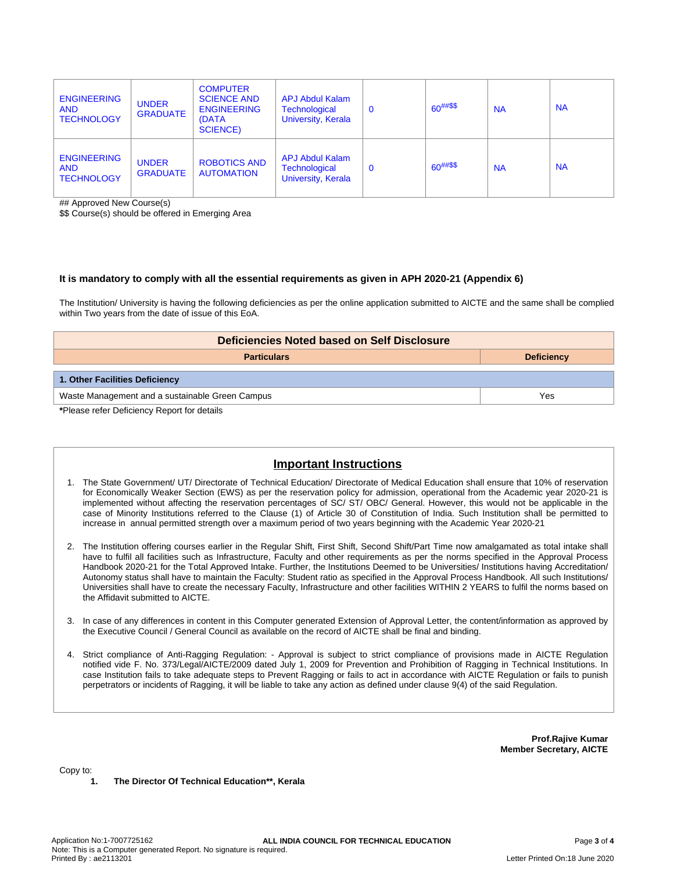| <b>ENGINEERING</b><br><b>AND</b><br><b>TECHNOLOGY</b> | <b>UNDER</b><br><b>GRADUATE</b> | <b>COMPUTER</b><br><b>SCIENCE AND</b><br><b>ENGINEERING</b><br>(DATA<br><b>SCIENCE)</b> | <b>APJ Abdul Kalam</b><br>Technological<br>University, Kerala        | $\mathbf 0$ | $60^{##\$\$}$ | <b>NA</b> | <b>NA</b> |
|-------------------------------------------------------|---------------------------------|-----------------------------------------------------------------------------------------|----------------------------------------------------------------------|-------------|---------------|-----------|-----------|
| <b>ENGINEERING</b><br><b>AND</b><br><b>TECHNOLOGY</b> | <b>UNDER</b><br><b>GRADUATE</b> | <b>ROBOTICS AND</b><br><b>AUTOMATION</b>                                                | <b>APJ Abdul Kalam</b><br><b>Technological</b><br>University, Kerala | $\mathbf 0$ | $60^{##\$\$}$ | <b>NA</b> | <b>NA</b> |

## Approved New Course(s)

\$\$ Course(s) should be offered in Emerging Area

### **It is mandatory to comply with all the essential requirements as given in APH 2020-21 (Appendix 6)**

The Institution/ University is having the following deficiencies as per the online application submitted to AICTE and the same shall be complied within Two years from the date of issue of this EoA.

| Deficiencies Noted based on Self Disclosure     |     |  |  |  |  |
|-------------------------------------------------|-----|--|--|--|--|
| <b>Particulars</b><br><b>Deficiency</b>         |     |  |  |  |  |
| 1. Other Facilities Deficiency                  |     |  |  |  |  |
| Waste Management and a sustainable Green Campus | Yes |  |  |  |  |
| *Please refer Deficiency Report for details     |     |  |  |  |  |

# **Important Instructions**

- 1. The State Government/ UT/ Directorate of Technical Education/ Directorate of Medical Education shall ensure that 10% of reservation for Economically Weaker Section (EWS) as per the reservation policy for admission, operational from the Academic year 2020-21 is implemented without affecting the reservation percentages of SC/ ST/ OBC/ General. However, this would not be applicable in the case of Minority Institutions referred to the Clause (1) of Article 30 of Constitution of India. Such Institution shall be permitted to increase in annual permitted strength over a maximum period of two years beginning with the Academic Year 2020-21
- 2. The Institution offering courses earlier in the Regular Shift, First Shift, Second Shift/Part Time now amalgamated as total intake shall have to fulfil all facilities such as Infrastructure, Faculty and other requirements as per the norms specified in the Approval Process Handbook 2020-21 for the Total Approved Intake. Further, the Institutions Deemed to be Universities/ Institutions having Accreditation/ Autonomy status shall have to maintain the Faculty: Student ratio as specified in the Approval Process Handbook. All such Institutions/ Universities shall have to create the necessary Faculty, Infrastructure and other facilities WITHIN 2 YEARS to fulfil the norms based on the Affidavit submitted to AICTE.
- 3. In case of any differences in content in this Computer generated Extension of Approval Letter, the content/information as approved by the Executive Council / General Council as available on the record of AICTE shall be final and binding.
- 4. Strict compliance of Anti-Ragging Regulation: Approval is subject to strict compliance of provisions made in AICTE Regulation notified vide F. No. 373/Legal/AICTE/2009 dated July 1, 2009 for Prevention and Prohibition of Ragging in Technical Institutions. In case Institution fails to take adequate steps to Prevent Ragging or fails to act in accordance with AICTE Regulation or fails to punish perpetrators or incidents of Ragging, it will be liable to take any action as defined under clause 9(4) of the said Regulation.

**Prof.Rajive Kumar Member Secretary, AICTE**

Copy to:

**1. The Director Of Technical Education\*\*, Kerala**